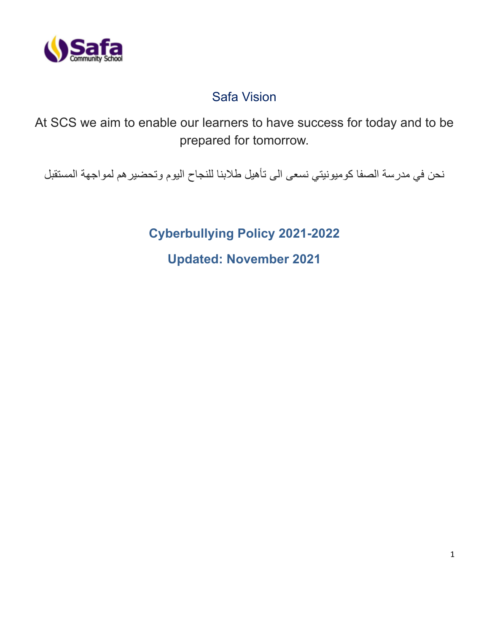

# Safa Vision

At SCS we aim to enable our learners to have success for today and to be prepared for tomorrow.

نحن في مدرسة الصفا كوميونيتي نسعى الى تأهيل طالبنا للنجاح اليوم وتحضيرهم لمواجهة المستقبل

**Cyberbullying Policy 2021-2022 Updated: November 2021**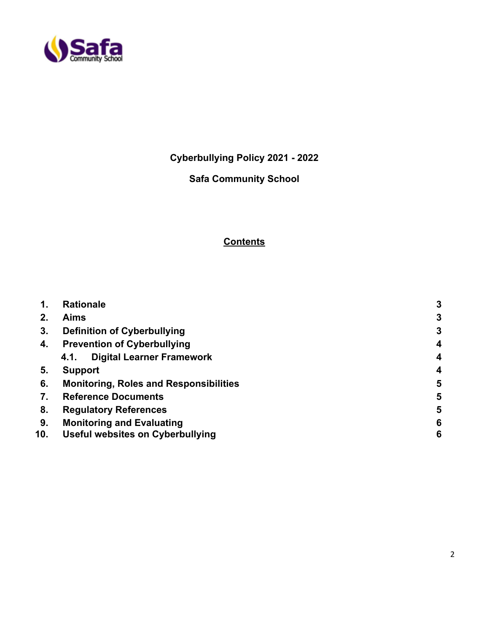

**Cyberbullying Policy 2021 - 2022**

# **Safa Community School**

# **Contents**

| 1.  | <b>Rationale</b>                              | 3                       |
|-----|-----------------------------------------------|-------------------------|
| 2.  | <b>Aims</b>                                   | $\mathbf{3}$            |
| 3.  | <b>Definition of Cyberbullying</b>            | $\mathbf{3}$            |
| 4.  | <b>Prevention of Cyberbullying</b>            | $\overline{4}$          |
|     | <b>Digital Learner Framework</b><br>4.1.      | $\overline{\mathbf{4}}$ |
| 5.  | <b>Support</b>                                | 4                       |
| 6.  | <b>Monitoring, Roles and Responsibilities</b> | 5                       |
| 7.  | <b>Reference Documents</b>                    | 5                       |
| 8.  | <b>Regulatory References</b>                  | 5                       |
| 9.  | <b>Monitoring and Evaluating</b>              | 6                       |
| 10. | <b>Useful websites on Cyberbullying</b>       | 6                       |
|     |                                               |                         |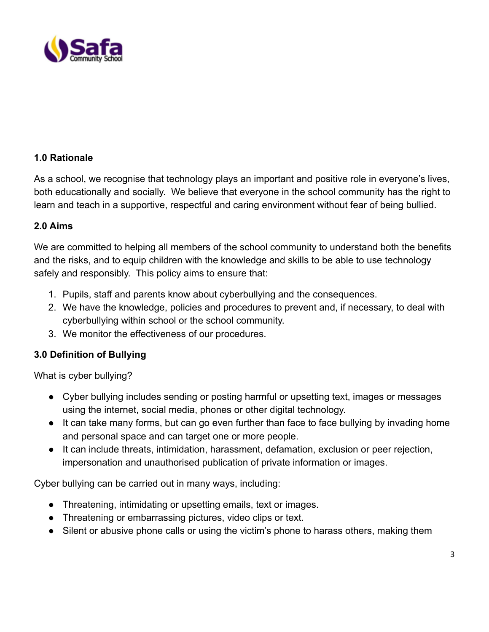

### **1.0 Rationale**

As a school, we recognise that technology plays an important and positive role in everyone's lives, both educationally and socially. We believe that everyone in the school community has the right to learn and teach in a supportive, respectful and caring environment without fear of being bullied.

#### **2.0 Aims**

We are committed to helping all members of the school community to understand both the benefits and the risks, and to equip children with the knowledge and skills to be able to use technology safely and responsibly. This policy aims to ensure that:

- 1. Pupils, staff and parents know about cyberbullying and the consequences.
- 2. We have the knowledge, policies and procedures to prevent and, if necessary, to deal with cyberbullying within school or the school community.
- 3. We monitor the effectiveness of our procedures.

# **3.0 Definition of Bullying**

What is cyber bullying?

- Cyber bullying includes sending or posting harmful or upsetting text, images or messages using the internet, social media, phones or other digital technology.
- It can take many forms, but can go even further than face to face bullying by invading home and personal space and can target one or more people.
- It can include threats, intimidation, harassment, defamation, exclusion or peer rejection, impersonation and unauthorised publication of private information or images.

Cyber bullying can be carried out in many ways, including:

- Threatening, intimidating or upsetting emails, text or images.
- Threatening or embarrassing pictures, video clips or text.
- Silent or abusive phone calls or using the victim's phone to harass others, making them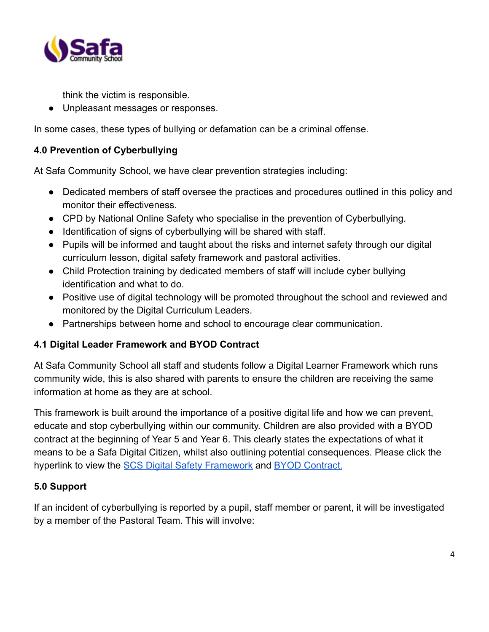

think the victim is responsible.

● Unpleasant messages or responses.

In some cases, these types of bullying or defamation can be a criminal offense.

# **4.0 Prevention of Cyberbullying**

At Safa Community School, we have clear prevention strategies including:

- Dedicated members of staff oversee the practices and procedures outlined in this policy and monitor their effectiveness.
- CPD by National Online Safety who specialise in the prevention of Cyberbullying.
- Identification of signs of cyberbullying will be shared with staff.
- Pupils will be informed and taught about the risks and internet safety through our digital curriculum lesson, digital safety framework and pastoral activities.
- Child Protection training by dedicated members of staff will include cyber bullying identification and what to do.
- Positive use of digital technology will be promoted throughout the school and reviewed and monitored by the Digital Curriculum Leaders.
- Partnerships between home and school to encourage clear communication.

# **4.1 Digital Leader Framework and BYOD Contract**

At Safa Community School all staff and students follow a Digital Learner Framework which runs community wide, this is also shared with parents to ensure the children are receiving the same information at home as they are at school.

This framework is built around the importance of a positive digital life and how we can prevent, educate and stop cyberbullying within our community. Children are also provided with a BYOD contract at the beginning of Year 5 and Year 6. This clearly states the expectations of what it means to be a Safa Digital Citizen, whilst also outlining potential consequences. Please click the hyperlink to view the [SCS Digital Safety Framework](https://drive.google.com/file/d/1wMUOv9VVNsbFoSMhOFAOolb9zMEJ64LB/view?usp=sharing) and [BYOD Contract.](https://docs.google.com/document/d/1RdoKcLMXKJQVjxzto7wzdNRQ4nLW7l2ZMFZQLXX6-vE/edit)

#### **5.0 Support**

If an incident of cyberbullying is reported by a pupil, staff member or parent, it will be investigated by a member of the Pastoral Team. This will involve: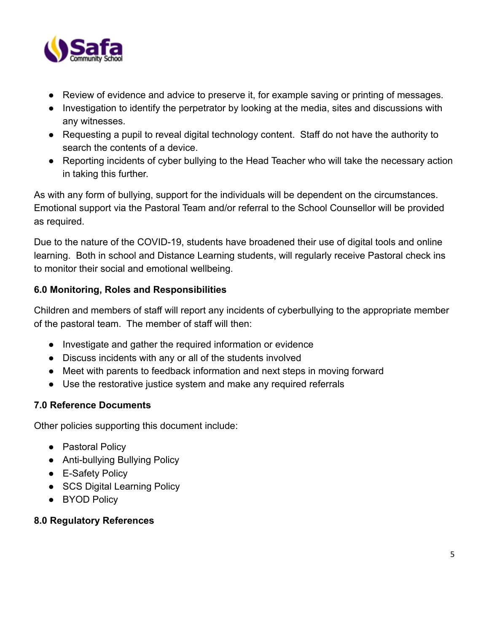

- Review of evidence and advice to preserve it, for example saving or printing of messages.
- Investigation to identify the perpetrator by looking at the media, sites and discussions with any witnesses.
- Requesting a pupil to reveal digital technology content. Staff do not have the authority to search the contents of a device.
- Reporting incidents of cyber bullying to the Head Teacher who will take the necessary action in taking this further.

As with any form of bullying, support for the individuals will be dependent on the circumstances. Emotional support via the Pastoral Team and/or referral to the School Counsellor will be provided as required.

Due to the nature of the COVID-19, students have broadened their use of digital tools and online learning. Both in school and Distance Learning students, will regularly receive Pastoral check ins to monitor their social and emotional wellbeing.

# **6.0 Monitoring, Roles and Responsibilities**

Children and members of staff will report any incidents of cyberbullying to the appropriate member of the pastoral team. The member of staff will then:

- Investigate and gather the required information or evidence
- Discuss incidents with any or all of the students involved
- Meet with parents to feedback information and next steps in moving forward
- Use the restorative justice system and make any required referrals

#### **7.0 Reference Documents**

Other policies supporting this document include:

- Pastoral Policy
- Anti-bullying Bullying Policy
- E-Safety Policy
- SCS Digital Learning Policy
- BYOD Policy

#### **8.0 Regulatory References**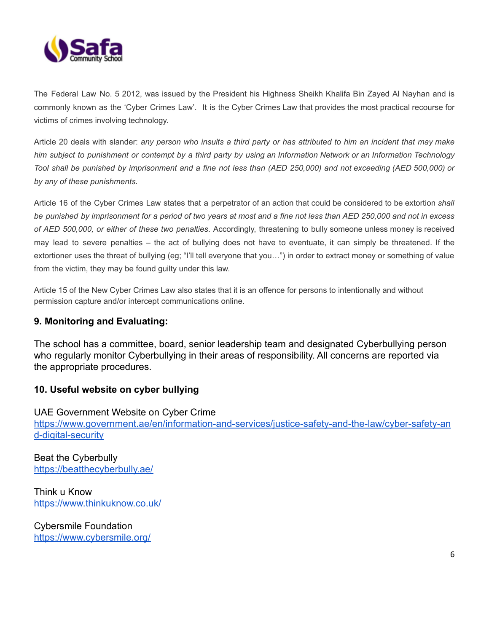

The Federal Law No. 5 2012, was issued by the President his Highness Sheikh Khalifa Bin Zayed Al Nayhan and is commonly known as the 'Cyber Crimes Law'. It is the Cyber Crimes Law that provides the most practical recourse for victims of crimes involving technology.

Article 20 deals with slander: any person who insults a third party or has attributed to him an incident that may make him subject to punishment or contempt by a third party by using an Information Network or an Information Technology Tool shall be punished by imprisonment and a fine not less than (AED 250,000) and not exceeding (AED 500,000) or *by any of these punishments.*

Article 16 of the Cyber Crimes Law states that a perpetrator of an action that could be considered to be extortion *shall* be punished by imprisonment for a period of two years at most and a fine not less than AED 250,000 and not in excess *of AED 500,000, or either of these two penalties*. Accordingly, threatening to bully someone unless money is received may lead to severe penalties – the act of bullying does not have to eventuate, it can simply be threatened. If the extortioner uses the threat of bullying (eg; "I'll tell everyone that you…") in order to extract money or something of value from the victim, they may be found guilty under this law.

Article 15 of the New Cyber Crimes Law also states that it is an offence for persons to intentionally and without permission capture and/or intercept communications online.

#### **9. Monitoring and Evaluating:**

The school has a committee, board, senior leadership team and designated Cyberbullying person who regularly monitor Cyberbullying in their areas of responsibility. All concerns are reported via the appropriate procedures.

#### **10. Useful website on cyber bullying**

UAE Government Website on Cyber Crime [https://www.government.ae/en/information-and-services/justice-safety-and-the-law/cyber-safety-an](https://www.government.ae/en/information-and-services/justice-safety-and-the-law/cyber-safety-and-digital-security) [d-digital-security](https://www.government.ae/en/information-and-services/justice-safety-and-the-law/cyber-safety-and-digital-security)

Beat the Cyberbully <https://beatthecyberbully.ae/>

Think u Know <https://www.thinkuknow.co.uk/>

Cybersmile Foundation <https://www.cybersmile.org/>